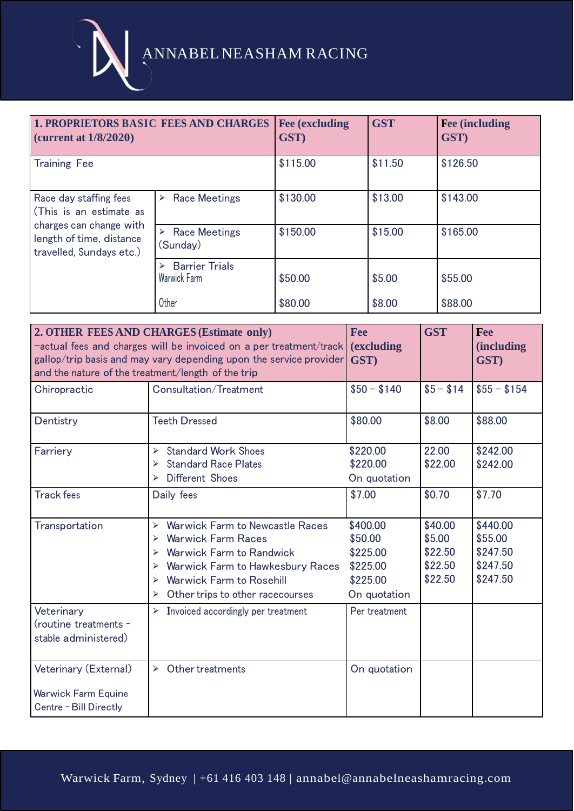ANNABEL NEASHAM RACING

| <b>1. PROPRIETORS BASIC FEES AND CHARGES</b><br>(current at $1/8/2020$ )                                                             |                                            | <b>Fee (excluding)</b><br>GST) | <b>GST</b> | <b>Fee (including)</b><br>GST) |  |
|--------------------------------------------------------------------------------------------------------------------------------------|--------------------------------------------|--------------------------------|------------|--------------------------------|--|
| <b>Training Fee</b>                                                                                                                  |                                            | \$115.00                       | \$11.50    | \$126.50                       |  |
| Race day staffing fees<br>(This is an estimate as<br>charges can change with<br>length of time, distance<br>travelled, Sundays etc.) | <b>Race Meetings</b><br>➤                  | \$130.00                       | \$13.00    | \$143.00                       |  |
|                                                                                                                                      | $\triangleright$ Race Meetings<br>(Sunday) | \$150.00                       | \$15.00    | \$165.00                       |  |
|                                                                                                                                      | <b>Barrier Trials</b><br>⋗<br>Warwick Farm | \$50.00                        | \$5.00     | \$55,00                        |  |
|                                                                                                                                      | Other                                      | \$80.00                        | \$8.00     | \$88.00                        |  |

| and the nature of the treatment/length of the trip                     | 2. OTHER FEES AND CHARGES (Estimate only)<br>-actual fees and charges will be invoiced on a per treatment/track<br>gallop/trip basis and may vary depending upon the service provider                                                                                            | <b>Fee</b><br><i>(excluding)</i><br>GST)                                | <b>GST</b>                                         | Fee<br><i>(including)</i><br>GST)                       |
|------------------------------------------------------------------------|----------------------------------------------------------------------------------------------------------------------------------------------------------------------------------------------------------------------------------------------------------------------------------|-------------------------------------------------------------------------|----------------------------------------------------|---------------------------------------------------------|
| Chiropractic                                                           | Consultation/Treatment                                                                                                                                                                                                                                                           | $$50 - $140$                                                            | $$5 - $14$                                         | $$55 - $154$                                            |
| Dentistry                                                              | <b>Teeth Dressed</b>                                                                                                                                                                                                                                                             | \$80.00                                                                 | \$8.00                                             | \$88.00                                                 |
| Farriery                                                               | <b>Standard Work Shoes</b><br>$\blacktriangleright$<br><b>Standard Race Plates</b><br>⋗<br>Different Shoes<br>$\blacktriangleright$                                                                                                                                              | \$220.00<br>\$220.00<br>On quotation                                    | 22.00<br>\$22.00                                   | \$242.00<br>\$242.00                                    |
| <b>Track fees</b>                                                      | Daily fees                                                                                                                                                                                                                                                                       | \$7.00                                                                  | \$0.70                                             | \$7.70                                                  |
| Transportation                                                         | Warwick Farm to Newcastle Races<br>$\blacktriangleright$<br><b>Warwick Farm Races</b><br>$\blacktriangleright$<br><b>Warwick Farm to Randwick</b><br>⋗<br>Warwick Farm to Hawkesbury Races<br>⋗<br><b>Warwick Farm to Rosehill</b><br>➤<br>Other trips to other racecourses<br>➤ | \$400.00<br>\$50.00<br>\$225.00<br>\$225.00<br>\$225.00<br>On quotation | \$40.00<br>\$5.00<br>\$22.50<br>\$22.50<br>\$22.50 | \$440.00<br>\$55.00<br>\$247.50<br>\$247.50<br>\$247.50 |
| Veterinary<br>(routine treatments -<br>stable administered)            | Invoiced accordingly per treatment<br>$\blacktriangleright$                                                                                                                                                                                                                      | Per treatment                                                           |                                                    |                                                         |
| Veterinary (External)<br>Warwick Farm Equine<br>Centre - Bill Directly | Other treatments<br>$\blacktriangleright$                                                                                                                                                                                                                                        | On quotation                                                            |                                                    |                                                         |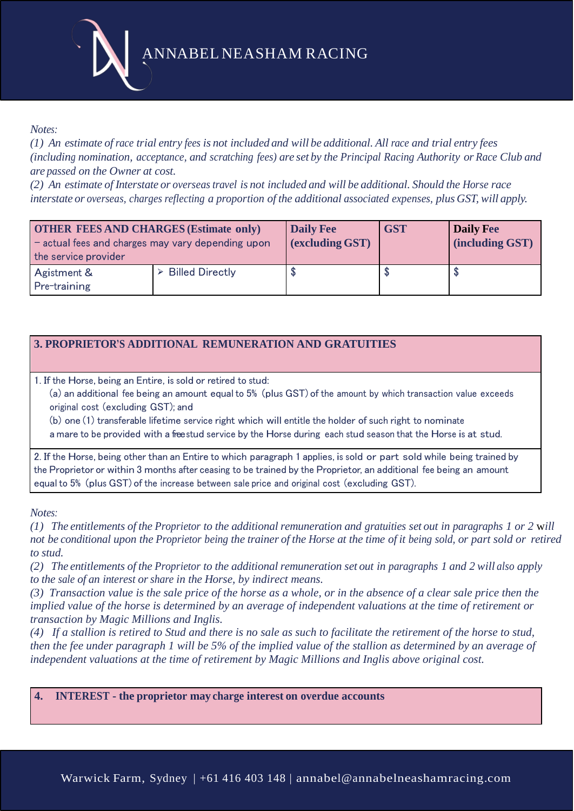ANNABEL NEASHAM RACING

## *Notes:*

(1) An estimate of race trial entry fees is not included and will be additional. All race and trial entry fees (including nomination, acceptance, and scratching fees) are set by the Principal Racing Authority or Race Club and *are passed on the Owner at cost.*

(2) An estimate of Interstate or overseas travel is not included and will be additional. Should the Horse race *interstate or overseas, charges reflecting a proportion of the additional associated expenses, plus GST, will apply.*

| <b>OTHER FEES AND CHARGES (Estimate only)</b><br>- actual fees and charges may vary depending upon<br>the service provider | <b>Daily Fee</b><br>(excluding GST) | <b>GST</b> | Daily Fee<br>(including GST) |  |
|----------------------------------------------------------------------------------------------------------------------------|-------------------------------------|------------|------------------------------|--|
| Agistment &<br>Pre-training                                                                                                | $\triangleright$ Billed Directly    |            |                              |  |

## **3. PROPRIETOR'S ADDITIONAL REMUNERATION AND GRATUITIES**

1. If the Horse, being an Entire, is sold or retired to stud:

(a) an additional fee being an amount equal to 5% (plus GST) of the amount by which transaction value exceeds original cost (excluding GST); and

(b) one (1) transferable lifetime service right which will entitle the holder of such right to nominate a mare to be provided with a freestud service by the Horse during each stud season that the Horse is at stud.

2. If the Horse, being other than an Entire to which paragraph 1 applies, is sold or part sold while being trained by the Proprietor or within 3 months after ceasing to be trained by the Proprietor, an additional fee being an amount equal to 5% (plus GST) of the increase between sale price and original cost (excluding GST).

*Notes:*

(1) The entitlements of the Proprietor to the additional remuneration and gratuities set out in paragraphs 1 or 2 will not be conditional upon the Proprietor being the trainer of the Horse at the time of it being sold, or part sold or retired *to stud.*

(2) The entitlements of the Proprietor to the additional remuneration set out in paragraphs 1 and 2 will also apply *to the sale of an interest orshare in the Horse, by indirect means.*

*(3) Transaction value is the sale price of the horse as a whole, or in the absence of a clear sale price then the implied value of the horse is determined by an average of independent valuations at the time of retirement or transaction by Magic Millions and Inglis.*

*(4) If a stallion is retired to Stud and there is no sale as such to facilitate the retirement of the horse to stud, then the fee under paragraph 1 will be 5% of the implied value of the stallion as determined by an average of independent valuations at the time of retirement by Magic Millions and Inglis above original cost.* 

**4. INTEREST - the proprietor may charge interest on overdue accounts**